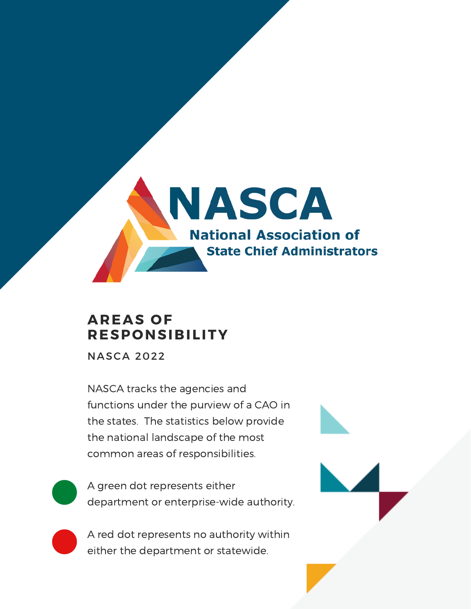

### **AREAS OF RESPONSIBILITY**

NASCA 2022

NASCA tracks the agencies and functions under the purview of a CAO in the states. The statistics below provide the national landscape of the most common areas of responsibilities.

A green dot represents either department or enterprise-wide authority.

A red dot represents no authority within either the department or statewide.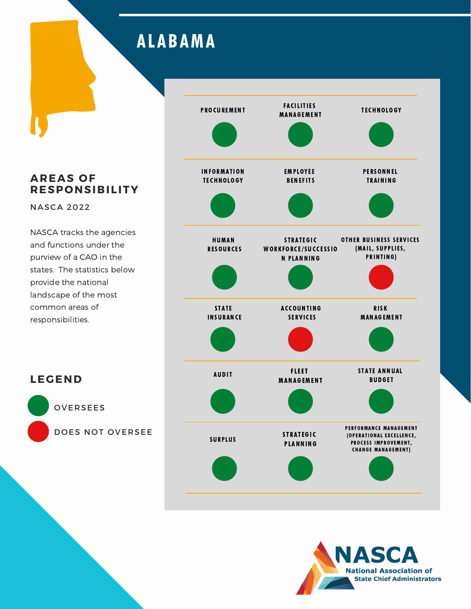# **ALABAMA**

**AREAS OF RESPONSIBILITY**

NASCA 2022

**LEGEND**

OVERSEES

DOES NOT OVERSEE



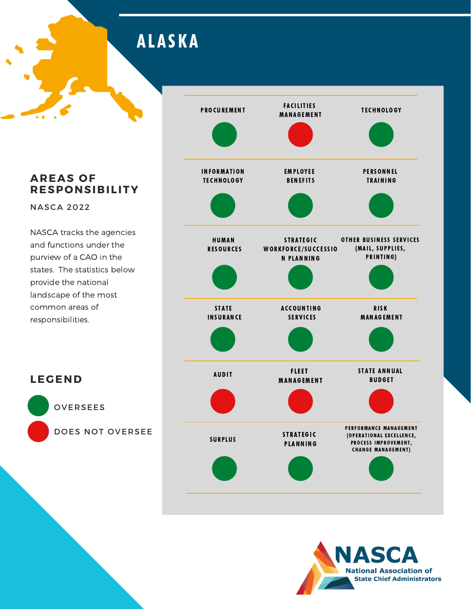**ALASKA** 

**AREAS OF RESPONSIBILITY**

NASCA 2022

**LEGEND**

OVERSEES

DOES NOT OVERSEE



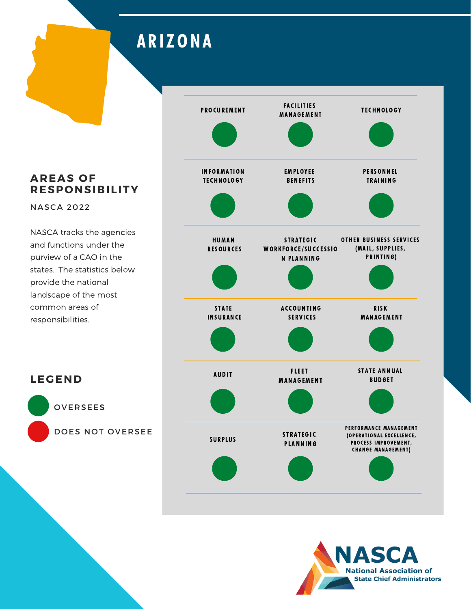## **ARIZONA**

**AREAS OF RESPONSIBILITY**

NASCA 2022

**LEGEND**

OVERSEES

DOES NOT OVERSEE



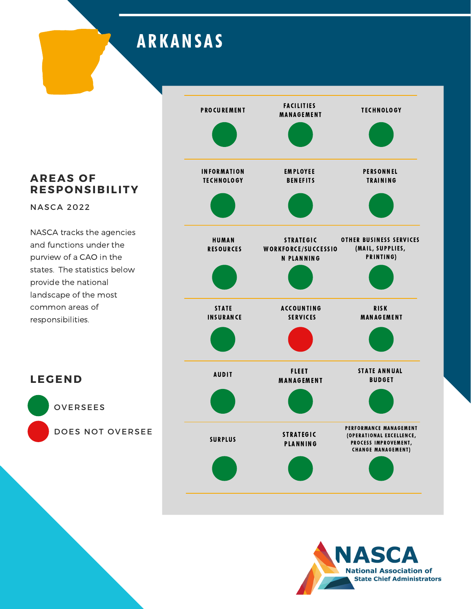## **ARKANSAS**

**AREAS OF RESPONSIBILITY**

NASCA 2022

NASCA tracks the agencies and functions under the purview of a CAO in the states. The statistics below provide the national landscape of the most common areas of responsibilities.





OVERSEES

**LEGEND**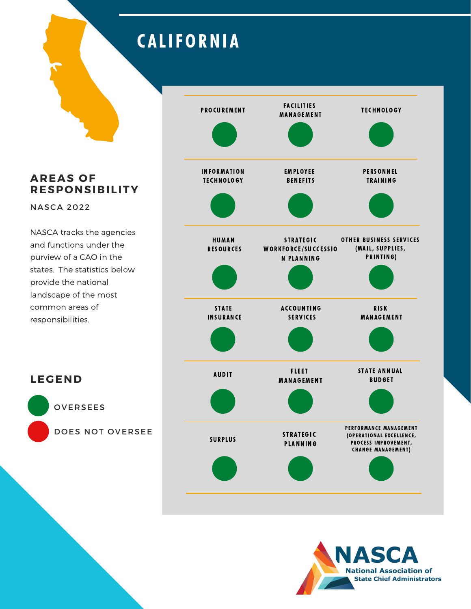## **CALIFORNIA**

**AREAS OF RESPONSIBILITY**

NASCA 2022

NASCA tracks the agencies and functions under the purview of a CAO in the states. The statistics below provide the national landscape of the most common areas of responsibilities.





OVERSEES

**LEGEND**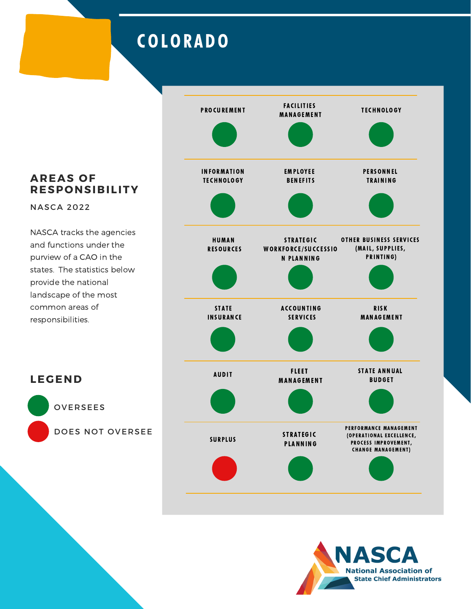## COLOR ADO

**AREAS OF RESPONSIBILITY**

NASCA 2022

**LEGEND**

OVERSEES

DOES NOT OVERSEE



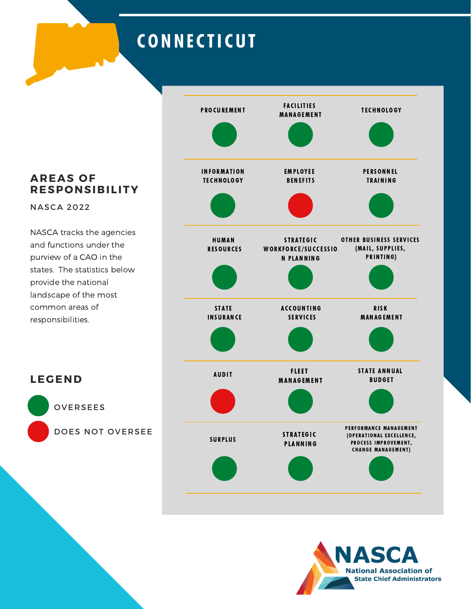## **CONNECTICUT**

**AREAS OF RESPONSIBILITY**

NASCA 2022

**LEGEND**

OVERSEES

DOES NOT OVERSEE



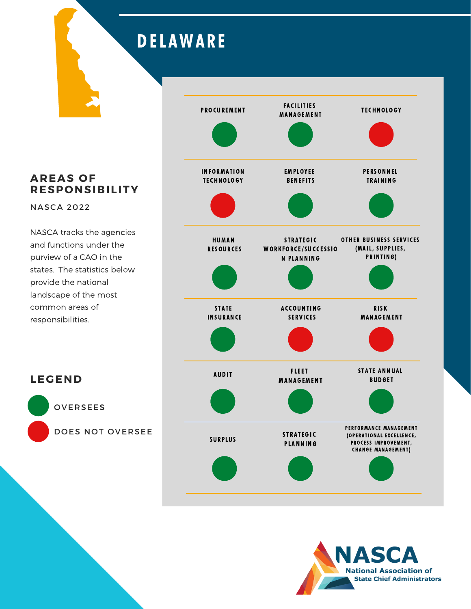# **DELAWARE**

**AREAS OF RESPONSIBILITY**

NASCA 2022

NASCA tracks the agencies and functions under the purview of a CAO in the states. The statistics below provide the national landscape of the most common areas of responsibilities.





OVERSEES

**LEGEND**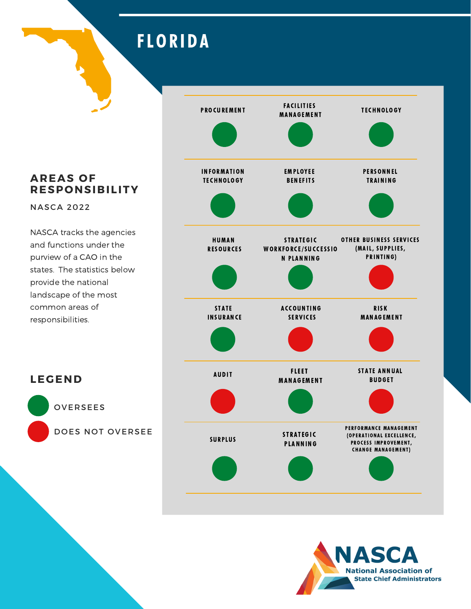### **FLORIDA**

**AREAS OF RESPONSIBILITY**

NASCA 2022

**LEGEND**

OVERSEES

DOES NOT OVERSEE



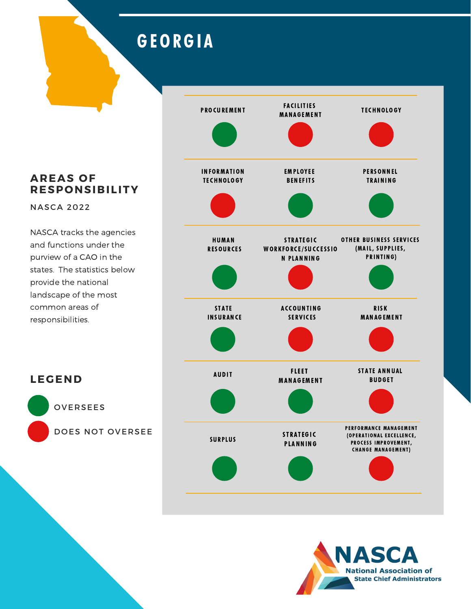## GEORGIA

#### **AREAS OF RESPONSIBILITY**

NASCA 2022

NASCA tracks the agencies and functions under the purview of a CAO in the states. The statistics below provide the national landscape of the most common areas of responsibilities.





OVERSEES

**LEGEND**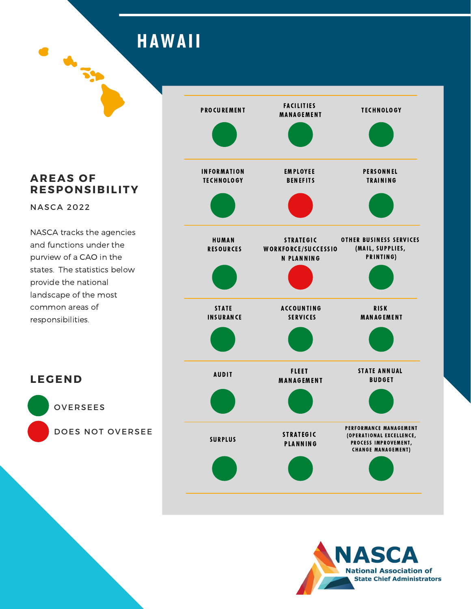**HAWAII** 

#### **AREAS OF RESPONSIBILITY**

**A**<br>Th

NASCA 2022

**LEGEND**

OVERSEES

DOES NOT OVERSEE



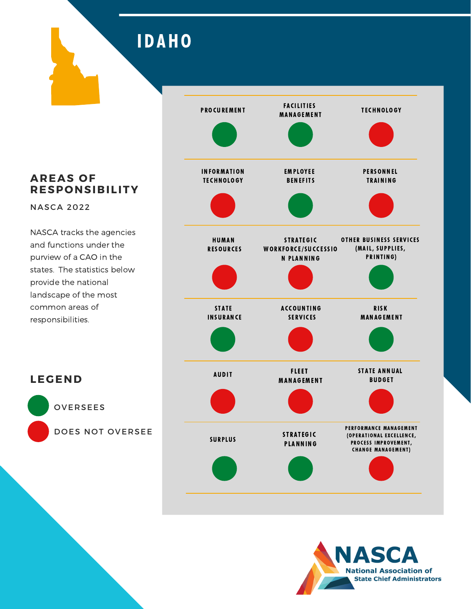IDAHO

### **AREAS OF RESPONSIBILITY**

NASCA 2022

**LEGEND**

OVERSEES

DOES NOT OVERSEE



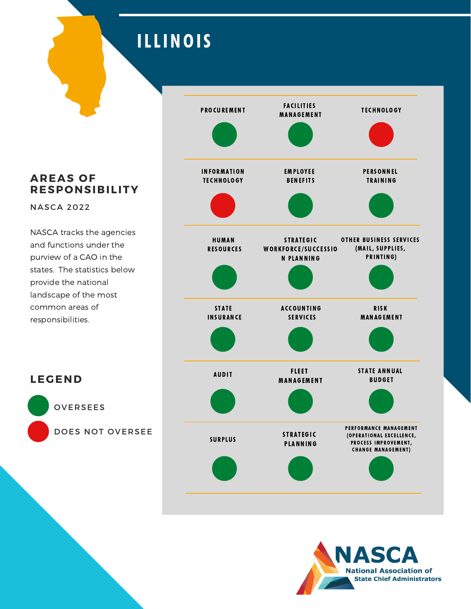## ILLINOIS

**AREAS OF RESPONSIBILITY**

NASCA 2022

**LEGEND**

OVERSEES

DOES NOT OVERSEE



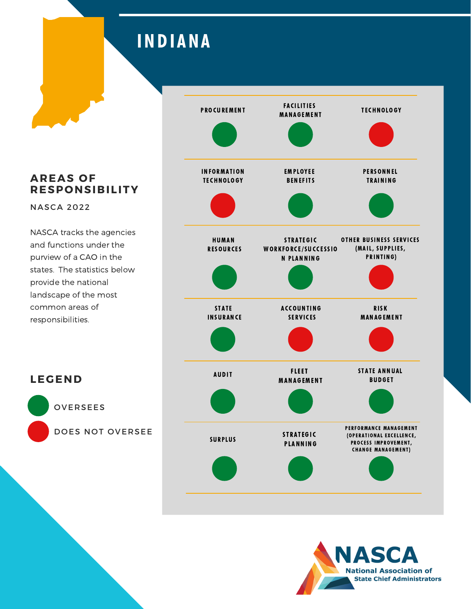## **INDIANA**

**AREAS OF RESPONSIBILITY**

NASCA 2022

**LEGEND**

OVERSEES

DOES NOT OVERSEE



![](_page_14_Picture_5.jpeg)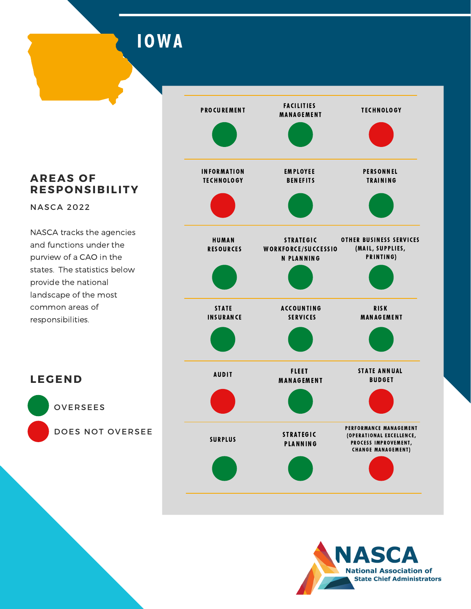IOWA

#### **AREAS OF RESPONSIBILITY**

NASCA 2022

NASCA tracks the agencies and functions under the purview of a CAO in the states. The statistics below provide the national landscape of the most common areas of responsibilities.

![](_page_15_Figure_4.jpeg)

![](_page_15_Picture_5.jpeg)

OVERSEES

**LEGEND**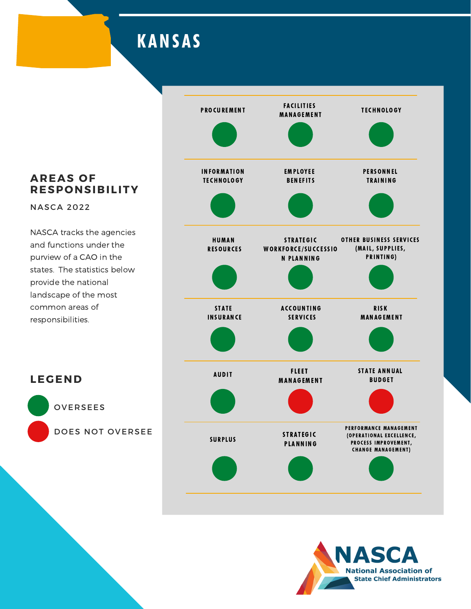### **KANSAS**

#### **AREAS OF RESPONSIBILITY**

NASCA 2022

**LEGEND**

NASCA tracks the agencies and functions under the purview of a CAO in the states. The statistics below provide the national landscape of the most common areas of responsibilities.

![](_page_16_Figure_4.jpeg)

![](_page_16_Picture_5.jpeg)

OVERSEES DOES NOT OVERSEE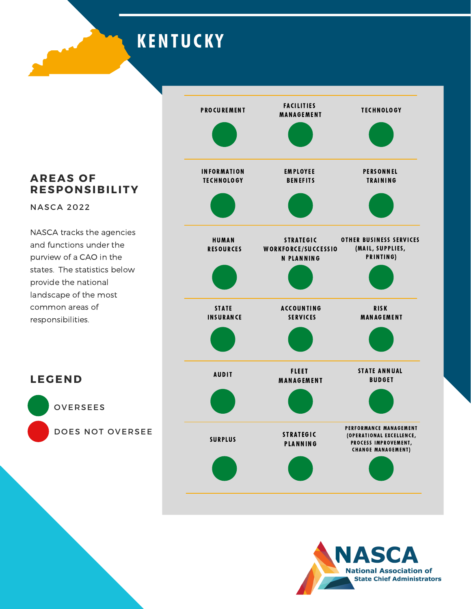**KENTUCKY** 

### **AREAS OF RESPONSIBILITY**

NASCA 2022

NASCA tracks the agencies and functions under the purview of a CAO in the states. The statistics below provide the national landscape of the most common areas of responsibilities.

![](_page_17_Figure_4.jpeg)

![](_page_17_Picture_5.jpeg)

OVERSEES

**LEGEND**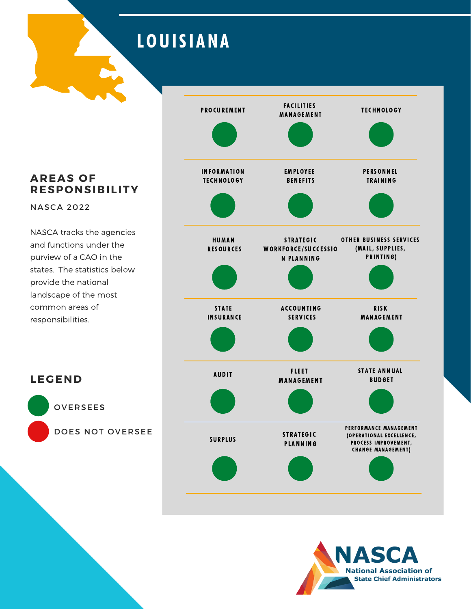## **LOUISIANA**

**AREAS OF RESPONSIBILITY**

NASCA 2022

**LEGEND**

OVERSEES

DOES NOT OVERSEE

![](_page_18_Figure_4.jpeg)

![](_page_18_Picture_5.jpeg)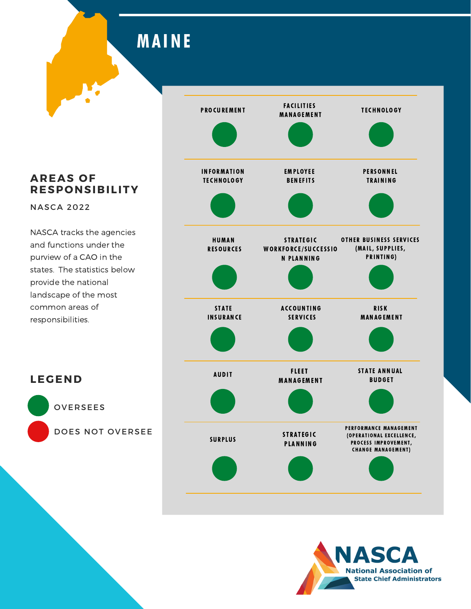**MAINE** 

**AREAS OF RESPONSIBILITY**

NASCA 2022

**LEGEND**

OVERSEES

DOES NOT OVERSEE

![](_page_19_Figure_4.jpeg)

![](_page_19_Picture_5.jpeg)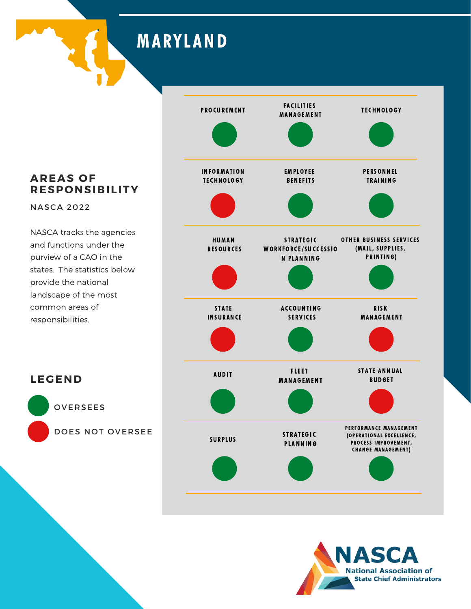**MARYLAND** 

#### **AREAS OF RESPONSIBILITY**

NASCA 2022

**LEGEND**

OVERSEES

DOES NOT OVERSEE

![](_page_20_Figure_4.jpeg)

![](_page_20_Picture_5.jpeg)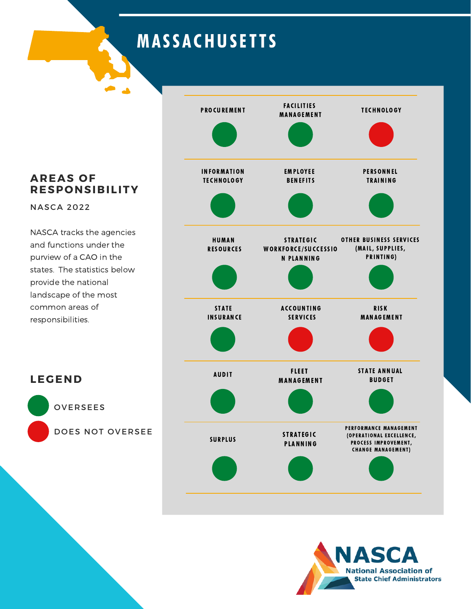## **MASSACHUSETTS**

### **AREAS OF RESPONSIBILITY**

NASCA 2022

**LEGEND**

OVERSEES

DOES NOT OVERSEE

![](_page_21_Figure_4.jpeg)

![](_page_21_Picture_5.jpeg)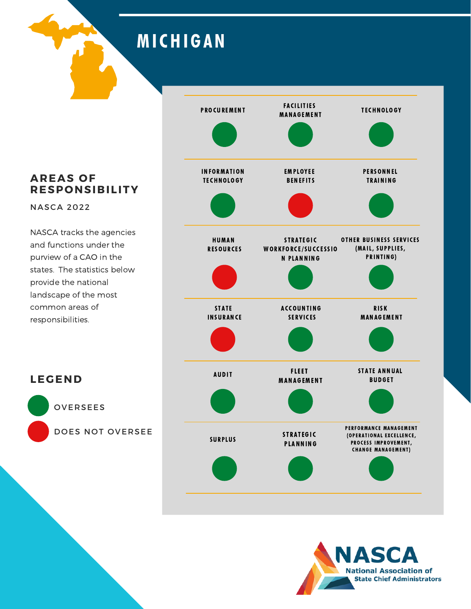### MI CHIGAN

**AREAS OF RESPONSIBILITY**

NASCA 2022

**LEGEND**

OVERSEES

DOES NOT OVERSEE

![](_page_22_Figure_4.jpeg)

![](_page_22_Picture_5.jpeg)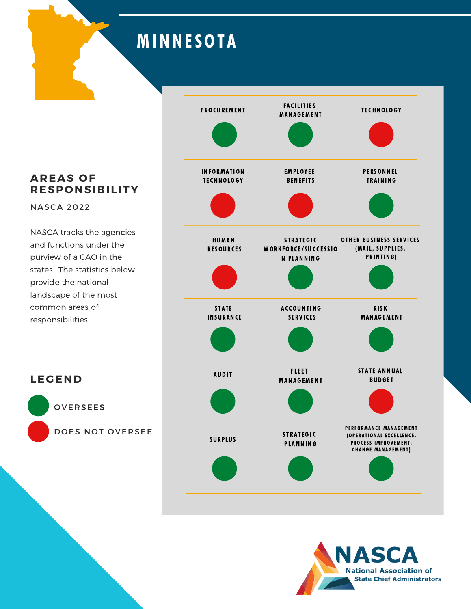# **MINNESOTA**

**AREAS OF RESPONSIBILITY**

NASCA 2022

**LEGEND**

OVERSEES

DOES NOT OVERSEE

![](_page_23_Figure_4.jpeg)

![](_page_23_Picture_5.jpeg)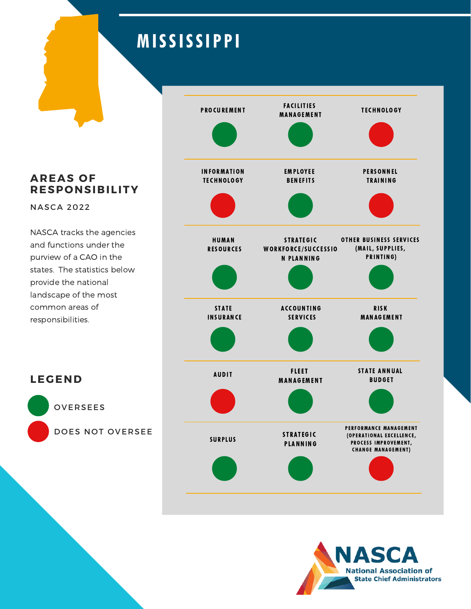# **MISSISSIPPI**

**AREAS OF RESPONSIBILITY**

NASCA 2022

NASCA tracks the agencies and functions under the purview of a CAO in the states. The statistics below provide the national landscape of the most common areas of responsibilities.

![](_page_24_Figure_4.jpeg)

![](_page_24_Picture_5.jpeg)

OVERSEES

**LEGEND**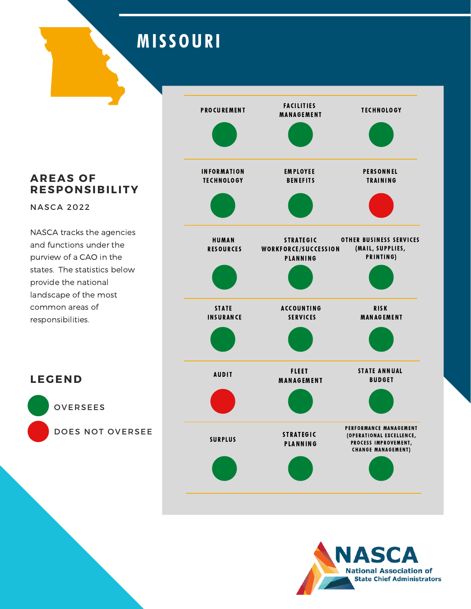## **MISSOURI**

**AREAS OF RESPONSIBILITY**

NASCA 2022

**LEGEND**

OVERSEES

DOES NOT OVERSEE

![](_page_25_Figure_4.jpeg)

![](_page_25_Picture_5.jpeg)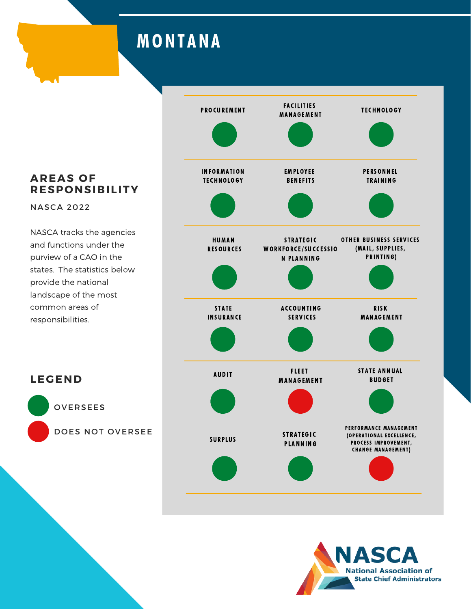## **MONTANA**

**AREAS OF RESPONSIBILITY**

NASCA 2022

**LEGEND**

OVERSEES

DOES NOT OVERSEE

![](_page_26_Figure_4.jpeg)

![](_page_26_Picture_5.jpeg)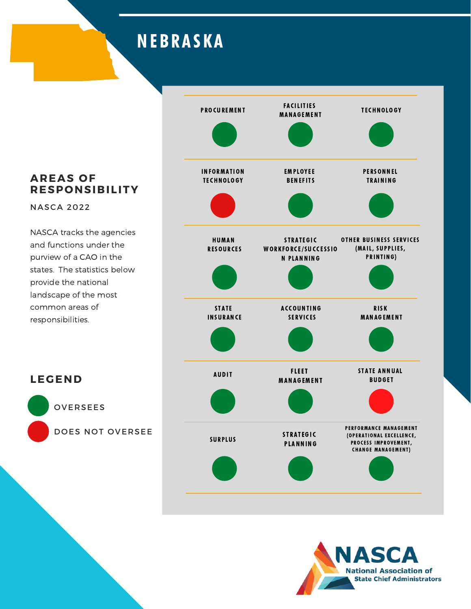### **NEBRASKA**

### **AREAS OF RESPONSIBILITY**

NASCA 2022

**LEGEND**

OVERSEES

DOES NOT OVERSEE

![](_page_27_Figure_4.jpeg)

![](_page_27_Picture_5.jpeg)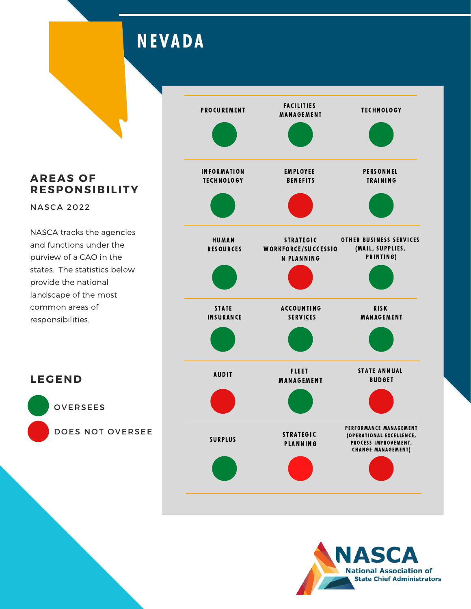### **NEVADA**

**AREAS OF RESPONSIBILITY**

NASCA 2022

NASCA tracks the agencies and functions under the purview of a CAO in the states. The statistics below provide the national landscape of the most common areas of responsibilities.

![](_page_28_Figure_4.jpeg)

![](_page_28_Picture_5.jpeg)

OVERSEES

**LEGEND**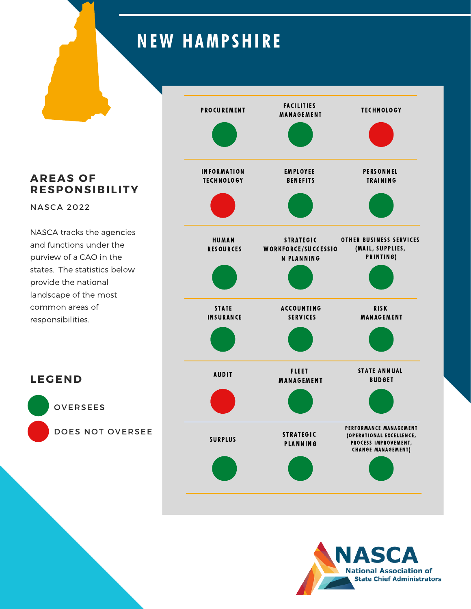### **NEW HAMPSHIRE**

**AREAS OF RESPONSIBILITY**

NASCA 2022

**LEGEND**

OVERSEES

DOES NOT OVERSEE

![](_page_29_Figure_4.jpeg)

![](_page_29_Picture_5.jpeg)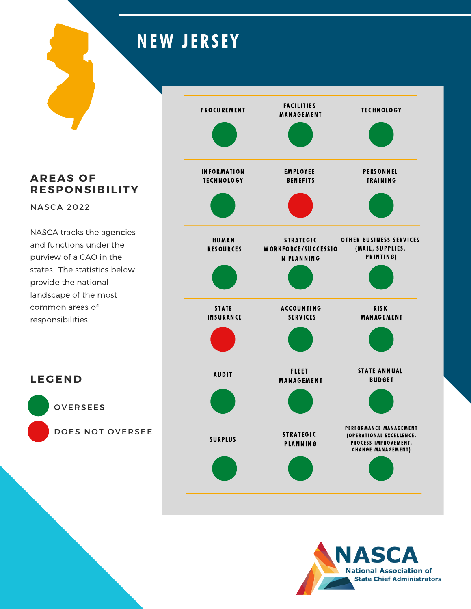# **NEW JERSEY**

**AREAS OF RESPONSIBILITY**

NASCA 2022

NASCA tracks the agencies and functions under the purview of a CAO in the states. The statistics below provide the national landscape of the most common areas of responsibilities.

![](_page_30_Figure_4.jpeg)

![](_page_30_Picture_5.jpeg)

OVERSEES

**LEGEND**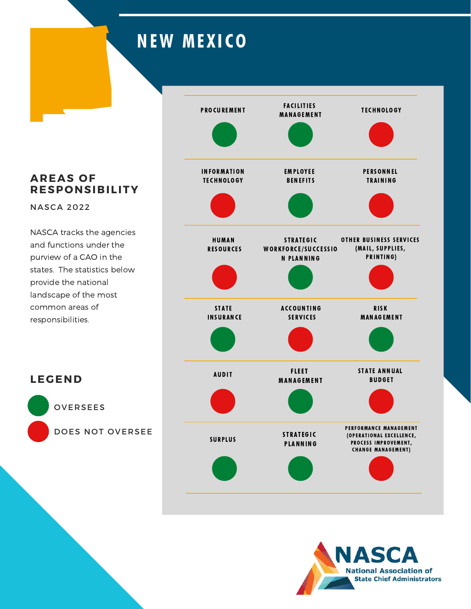## **NEW MEXICO**

**AREAS OF RESPONSIBILITY**

NASCA 2022

NASCA tracks the agencies and functions under the purview of a CAO in the states. The statistics below provide the national landscape of the most common areas of responsibilities.

![](_page_31_Figure_4.jpeg)

![](_page_31_Picture_5.jpeg)

OVERSEES

**LEGEND**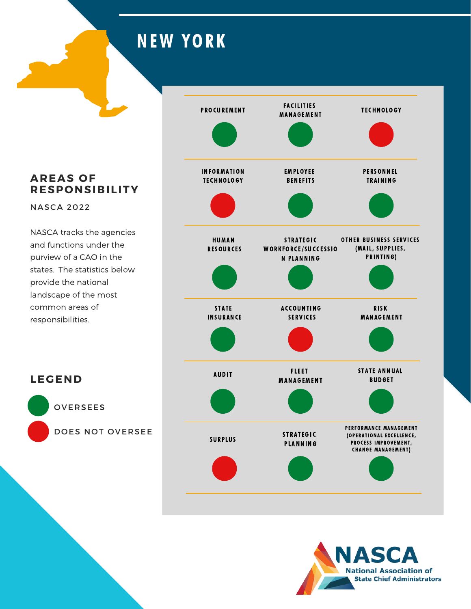## **NEW YORK**

**AREAS OF RESPONSIBILITY**

NASCA 2022

NASCA tracks the agencies and functions under the purview of a CAO in the states. The statistics below provide the national landscape of the most common areas of responsibilities.

![](_page_32_Figure_4.jpeg)

![](_page_32_Picture_5.jpeg)

OVERSEES

**LEGEND**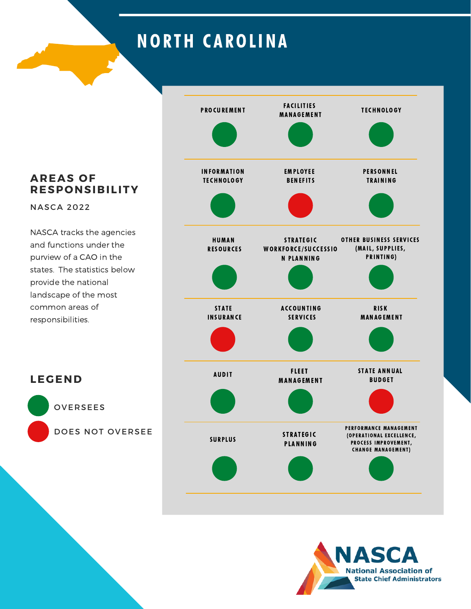## **NORTH CAROLINA**

**AREAS OF RESPONSIBILITY**

NASCA 2022

NASCA tracks the agencies and functions under the purview of a CAO in the states. The statistics below provide the national landscape of the most common areas of responsibilities.

![](_page_33_Figure_4.jpeg)

![](_page_33_Picture_5.jpeg)

OVERSEES

**LEGEND**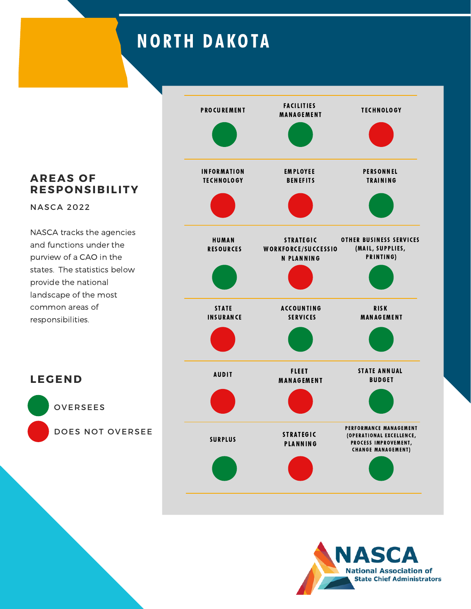## **NORTH DAKOTA**

**AREAS OF RESPONSIBILITY**

NASCA 2022

**LEGEND**

OVERSEES

DOES NOT OVERSEE

![](_page_34_Figure_4.jpeg)

![](_page_34_Picture_5.jpeg)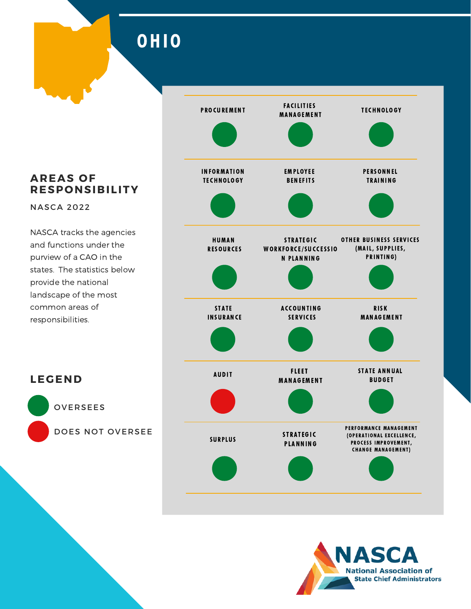OHIO

**AREAS OF RESPONSIBILITY**

NASCA 2022

**LEGEND**

OVERSEES

DOES NOT OVERSEE

![](_page_35_Figure_4.jpeg)

![](_page_35_Picture_5.jpeg)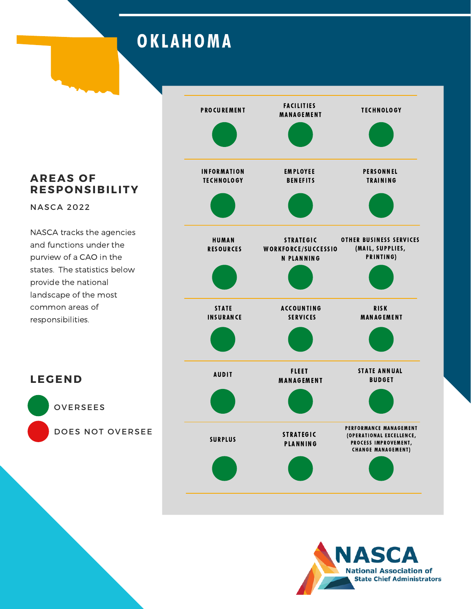## **OKLAHOMA**

### **AREAS OF RESPONSIBILITY**

NASCA 2022

**LEGEND**

OVERSEES

DOES NOT OVERSEE

![](_page_36_Figure_4.jpeg)

![](_page_36_Picture_5.jpeg)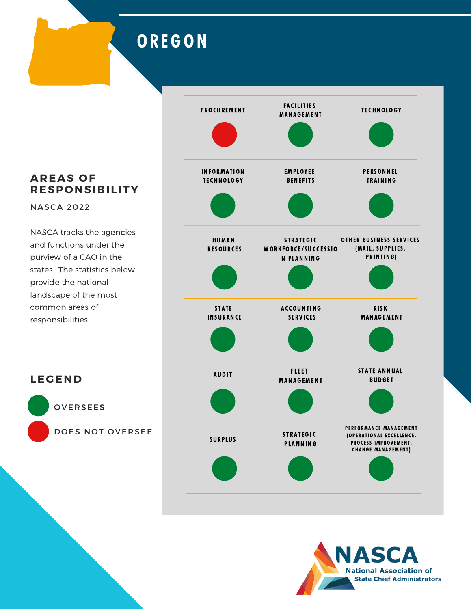### **OREGON**

**AREAS OF RESPONSIBILITY**

NASCA 2022

**LEGEND**

OVERSEES

DOES NOT OVERSEE

![](_page_37_Figure_4.jpeg)

![](_page_37_Picture_5.jpeg)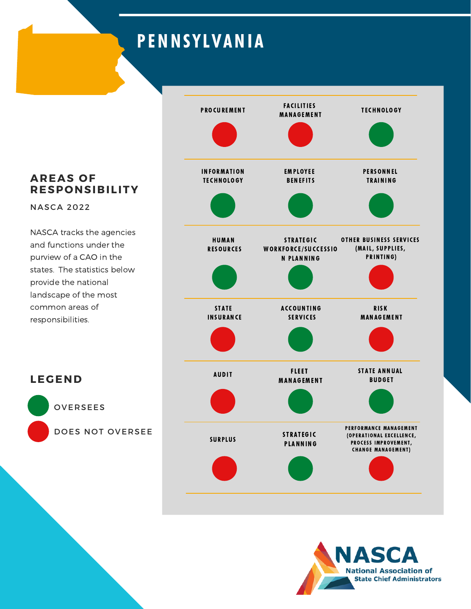## PENNSYLVANIA

![](_page_38_Figure_1.jpeg)

![](_page_38_Picture_2.jpeg)

#### **AREAS OF RESPONSIBILITY**

NASCA 2022

NASCA tracks the agencies and functions under the purview of a CAO in the states. The statistics below provide the national landscape of the most common areas of responsibilities.

**LEGEND** OVERSEES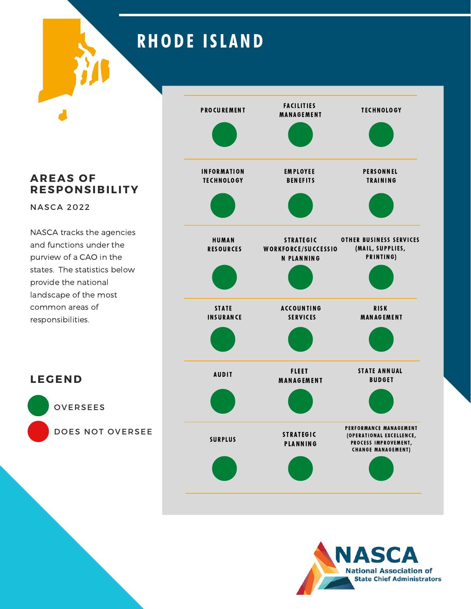## **RHODE ISLAND**

**AREAS OF RESPONSIBILITY**

NASCA 2022

**LEGEND**

OVERSEES

DOES NOT OVERSEE

![](_page_39_Figure_4.jpeg)

![](_page_39_Picture_5.jpeg)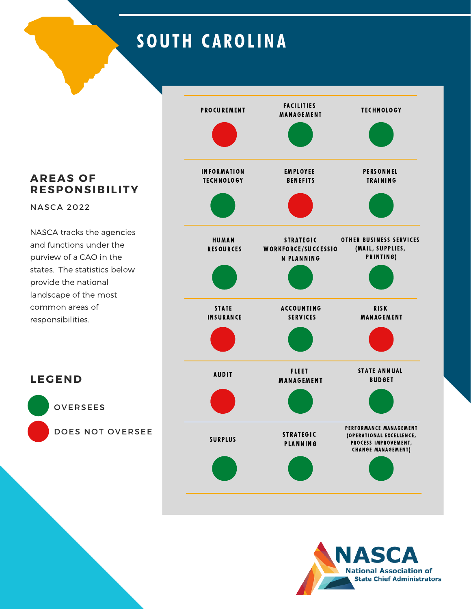## SOUTH CAROLINA

**AREAS OF RESPONSIBILITY**

NASCA 2022

NASCA tracks the agencies and functions under the purview of a CAO in the states. The statistics below provide the national landscape of the most common areas of responsibilities.

![](_page_40_Figure_4.jpeg)

![](_page_40_Picture_5.jpeg)

OVERSEES

**LEGEND**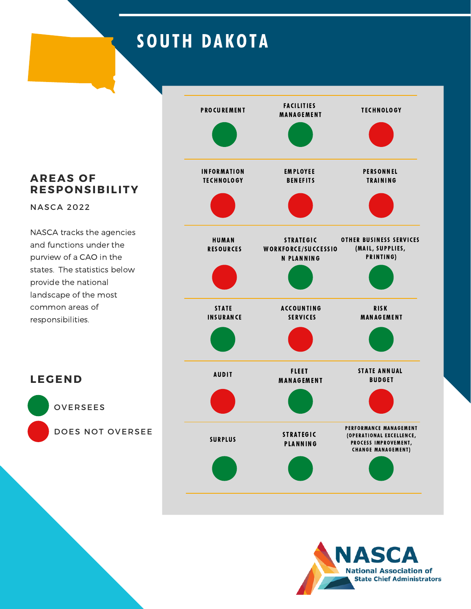## SOUTH DAKOTA

**AREAS OF RESPONSIBILITY**

NASCA 2022

**LEGEND**

OVERSEES

DOES NOT OVERSEE

![](_page_41_Figure_4.jpeg)

![](_page_41_Picture_5.jpeg)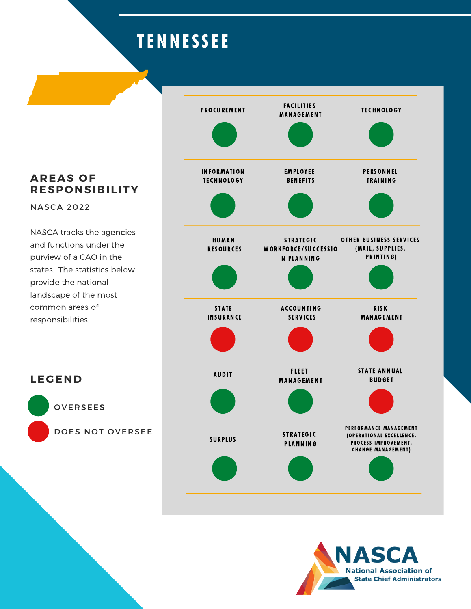## TENNESSEE

![](_page_42_Figure_1.jpeg)

**IASCA National Association of State Chief Administrators** 

#### **AREAS OF RESPONSIBILITY**

NASCA 2022

NASCA tracks the agencies and functions under the purview of a CAO in the states. The statistics below provide the national landscape of the most common areas of responsibilities.

**LEGEND** OVERSEES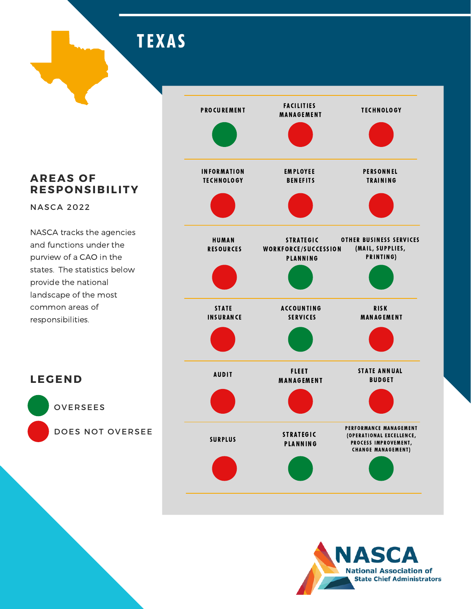**TEXAS** 

#### **AREAS OF RESPONSIBILITY**

NASCA 2022

**LEGEND**

OVERSEES

DOES NOT OVERSEE

![](_page_43_Figure_4.jpeg)

![](_page_43_Picture_5.jpeg)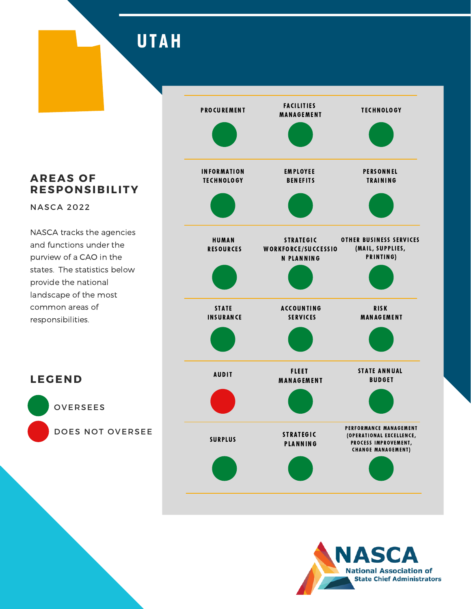### **UTAH**

**AREAS OF RESPONSIBILITY**

NASCA 2022

NASCA tracks the agencies and functions under the purview of a CAO in the states. The statistics below provide the national landscape of the most common areas of responsibilities.

![](_page_44_Figure_4.jpeg)

![](_page_44_Picture_5.jpeg)

OVERSEES

**LEGEND**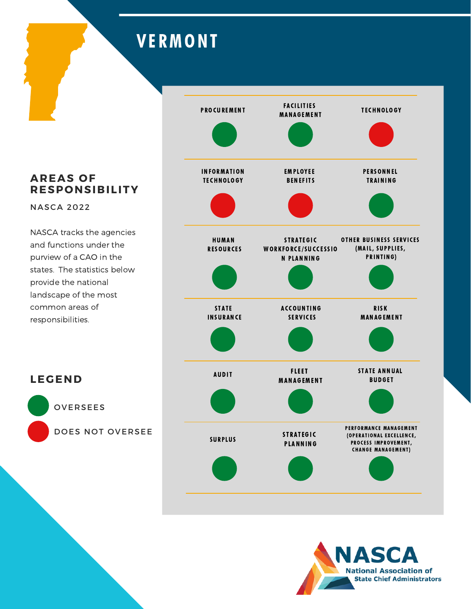## **VERMONT**

#### **AREAS OF RESPONSIBILITY**

NASCA 2022

NASCA tracks the agencies and functions under the purview of a CAO in the states. The statistics below provide the national landscape of the most common areas of responsibilities.

![](_page_45_Figure_4.jpeg)

![](_page_45_Picture_5.jpeg)

OVERSEES

**LEGEND**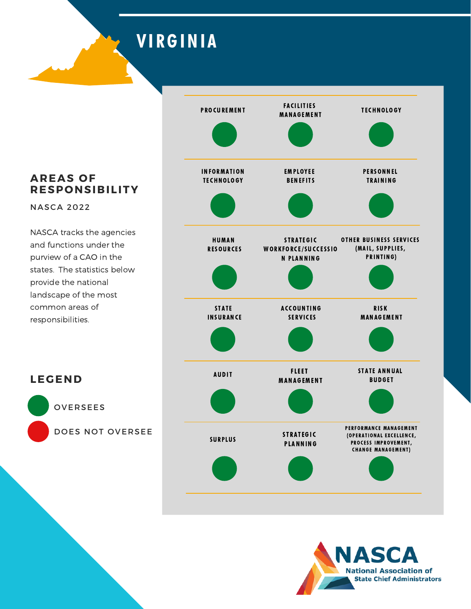**VIRGINIA** 

#### **AREAS OF RESPONSIBILITY**

NASCA 2022

**LEGEND**

OVERSEES

DOES NOT OVERSEE

![](_page_46_Figure_4.jpeg)

![](_page_46_Picture_5.jpeg)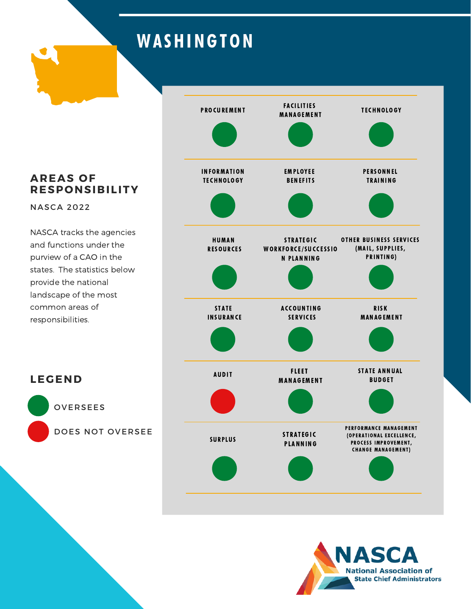## **WASHINGTON**

**AREAS OF RESPONSIBILITY**

NASCA 2022

NASCA tracks the agencies and functions under the purview of a CAO in the states. The statistics below provide the national landscape of the most common areas of responsibilities.

![](_page_47_Figure_4.jpeg)

![](_page_47_Picture_5.jpeg)

OVERSEES

**LEGEND**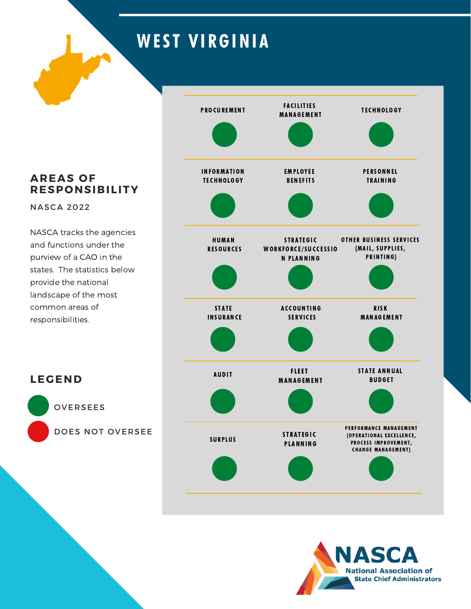# WEST VIRGINIA

**AREAS OF RESPONSIBILITY**

NASCA 2022

**LEGEND**

OVERSEES

DOES NOT OVERSEE

![](_page_48_Figure_4.jpeg)

![](_page_48_Picture_5.jpeg)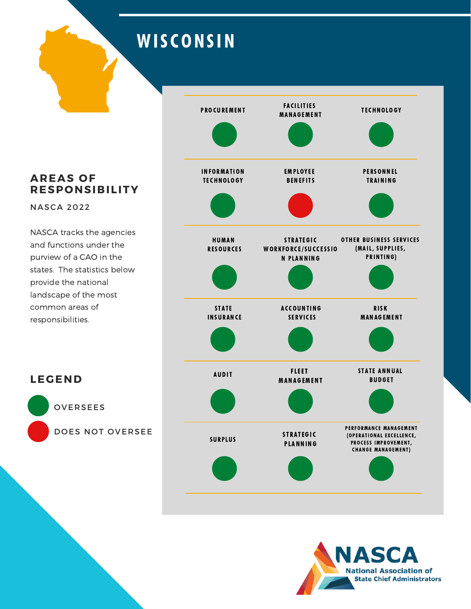## **WISCONSIN**

**AREAS OF RESPONSIBILITY**

NASCA 2022

NASCA tracks the agencies and functions under the purview of a CAO in the states. The statistics below provide the national landscape of the most common areas of responsibilities.

![](_page_49_Figure_4.jpeg)

![](_page_49_Picture_5.jpeg)

OVERSEES

**LEGEND**